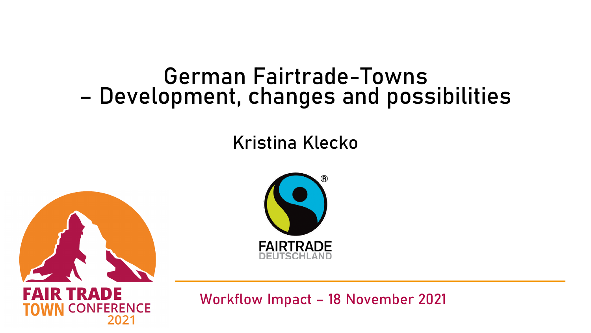#### German Fairtrade-Towns – Development, changes and possibilities

#### Kristina Klecko





DE IR TRA IБAI **ERENCE** 

Workflow Impact – 18 November 2021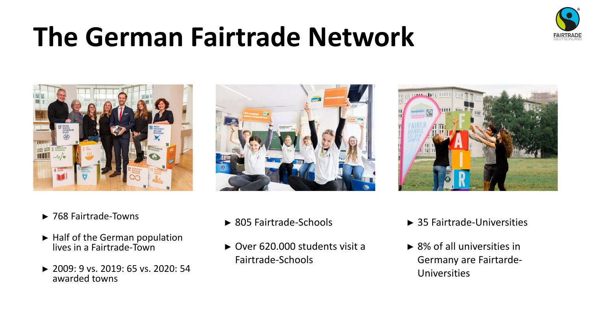

## **The German Fairtrade Network**







- ► Half of the German population lives in a Fairtrade-Town
- ► 2009: 9 vs. 2019: 65 vs. 2020: 54 awarded towns
- ► 805 Fairtrade-Schools
- ► Over 620.000 students visit a Fairtrade-Schools



► 8% of all universities in Germany are Fairtarde-Universities

► 35 Fairtrade-Universities

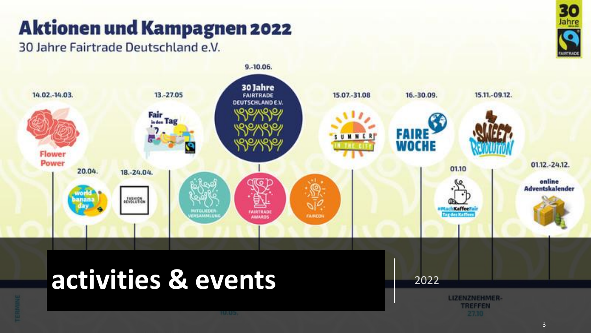#### **Aktionen und Kampagnen 2022**

30 Jahre Fairtrade Deutschland e.V.





**TREFFEN** 

3

30 Jahre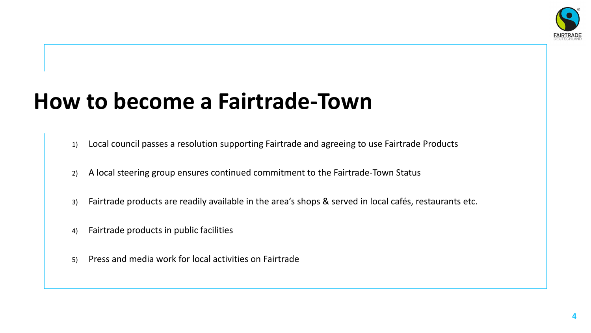

#### **How to become a Fairtrade-Town**

- 1) Local council passes a resolution supporting Fairtrade and agreeing to use Fairtrade Products
- 2) A local steering group ensures continued commitment to the Fairtrade-Town Status
- 3) Fairtrade products are readily available in the area's shops & served in local cafés, restaurants etc.
- 4) Fairtrade products in public facilities
- 5) Press and media work for local activities on Fairtrade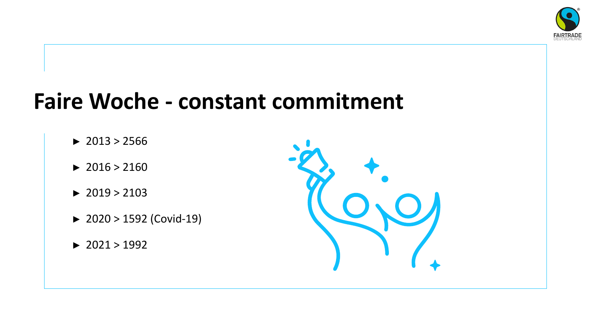

#### **Faire Woche - constant commitment**

- $\blacktriangleright$  2013 > 2566
- $\blacktriangleright$  2016 > 2160
- $\blacktriangleright$  2019 > 2103
- ► 2020 > 1592 (Covid-19)
- $\blacktriangleright$  2021 > 1992

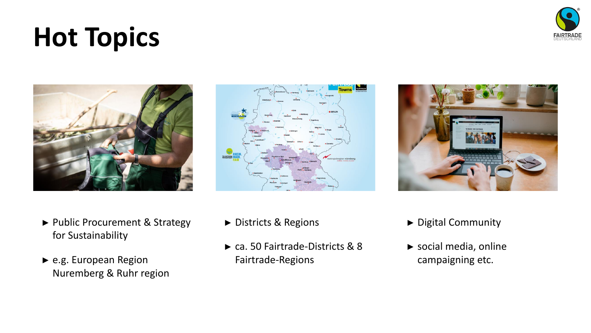► Public Procurement & Strategy for Sustainability

► e.g. European Region Nuremberg & Ruhr region ► Districts & Regions

**Dispatched RH** 

► ca. 50 Fairtrade-Districts & 8 Fairtrade-Regions

- ► Digital Community
- ► social media, online campaigning etc.





**Hot Topics**



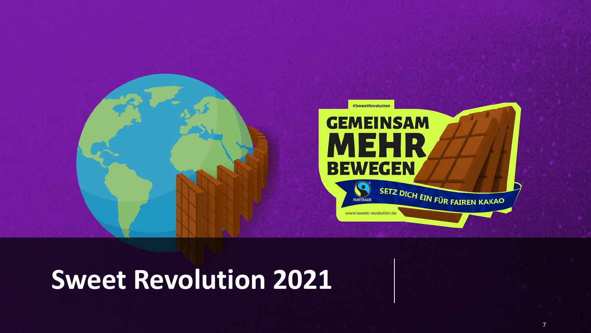

## **Sweet Revolution 2021**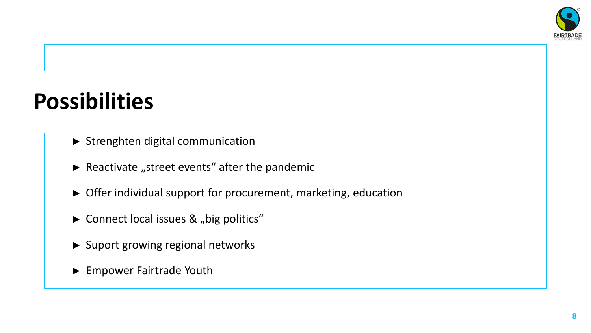

### **Possibilities**

- ► Strenghten digital communication
- $\blacktriangleright$  Reactivate "street events" after the pandemic
- ► Offer individual support for procurement, marketing, education
- ► Connect local issues & "big politics"
- ► Suport growing regional networks
- ► Empower Fairtrade Youth